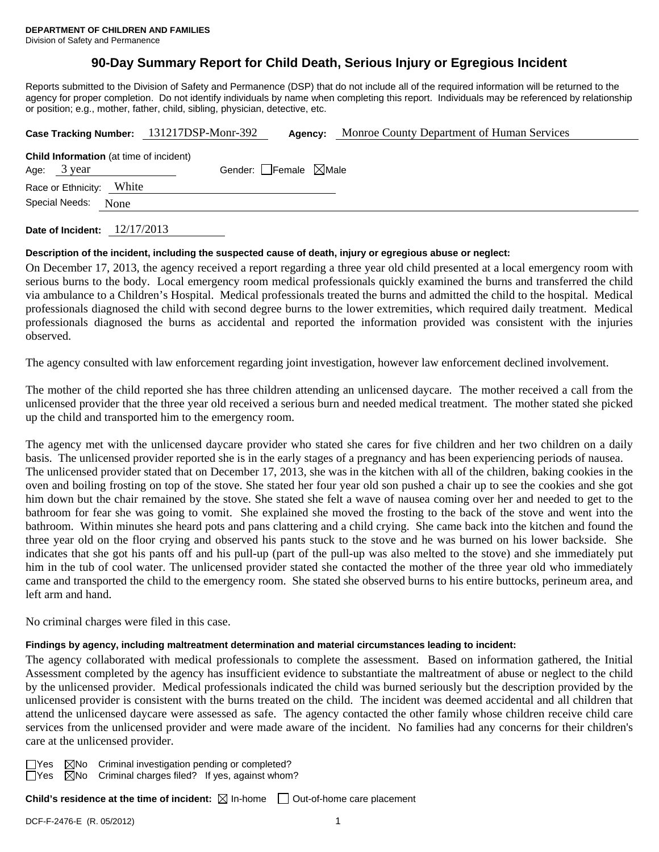# **90-Day Summary Report for Child Death, Serious Injury or Egregious Incident**

Reports submitted to the Division of Safety and Permanence (DSP) that do not include all of the required information will be returned to the agency for proper completion. Do not identify individuals by name when completing this report. Individuals may be referenced by relationship or position; e.g., mother, father, child, sibling, physician, detective, etc.

|                                                               |       | Case Tracking Number: 131217DSP-Monr-392 | Agency: | Monroe County Department of Human Services |
|---------------------------------------------------------------|-------|------------------------------------------|---------|--------------------------------------------|
| <b>Child Information</b> (at time of incident)<br>Age: 3 year |       | Gender: Female $\boxtimes$ Male          |         |                                            |
| Race or Ethnicity:                                            | White |                                          |         |                                            |
| Special Needs:                                                | None  |                                          |         |                                            |
|                                                               |       |                                          |         |                                            |

**Date of Incident:** 12/17/2013

## **Description of the incident, including the suspected cause of death, injury or egregious abuse or neglect:**

On December 17, 2013, the agency received a report regarding a three year old child presented at a local emergency room with serious burns to the body. Local emergency room medical professionals quickly examined the burns and transferred the child via ambulance to a Children's Hospital. Medical professionals treated the burns and admitted the child to the hospital. Medical professionals diagnosed the child with second degree burns to the lower extremities, which required daily treatment. Medical professionals diagnosed the burns as accidental and reported the information provided was consistent with the injuries observed.

The agency consulted with law enforcement regarding joint investigation, however law enforcement declined involvement.

The mother of the child reported she has three children attending an unlicensed daycare. The mother received a call from the unlicensed provider that the three year old received a serious burn and needed medical treatment. The mother stated she picked up the child and transported him to the emergency room.

The agency met with the unlicensed daycare provider who stated she cares for five children and her two children on a daily basis. The unlicensed provider reported she is in the early stages of a pregnancy and has been experiencing periods of nausea. The unlicensed provider stated that on December 17, 2013, she was in the kitchen with all of the children, baking cookies in the oven and boiling frosting on top of the stove. She stated her four year old son pushed a chair up to see the cookies and she got him down but the chair remained by the stove. She stated she felt a wave of nausea coming over her and needed to get to the bathroom for fear she was going to vomit. She explained she moved the frosting to the back of the stove and went into the bathroom. Within minutes she heard pots and pans clattering and a child crying. She came back into the kitchen and found the three year old on the floor crying and observed his pants stuck to the stove and he was burned on his lower backside. She indicates that she got his pants off and his pull-up (part of the pull-up was also melted to the stove) and she immediately put him in the tub of cool water. The unlicensed provider stated she contacted the mother of the three year old who immediately came and transported the child to the emergency room. She stated she observed burns to his entire buttocks, perineum area, and left arm and hand.

No criminal charges were filed in this case.

## **Findings by agency, including maltreatment determination and material circumstances leading to incident:**

The agency collaborated with medical professionals to complete the assessment. Based on information gathered, the Initial Assessment completed by the agency has insufficient evidence to substantiate the maltreatment of abuse or neglect to the child by the unlicensed provider. Medical professionals indicated the child was burned seriously but the description provided by the unlicensed provider is consistent with the burns treated on the child. The incident was deemed accidental and all children that attend the unlicensed daycare were assessed as safe. The agency contacted the other family whose children receive child care services from the unlicensed provider and were made aware of the incident. No families had any concerns for their children's care at the unlicensed provider.

 $\Box$  Yes  $\boxtimes$  No Criminal investigation pending or completed?  $\Box$  Yes  $\boxtimes$  No Criminal charges filed? If yes, against whom  $\boxtimes$ No Criminal charges filed? If yes, against whom?

**Child's residence at the time of incident:**  $\boxtimes$  In-home  $\Box$  Out-of-home care placement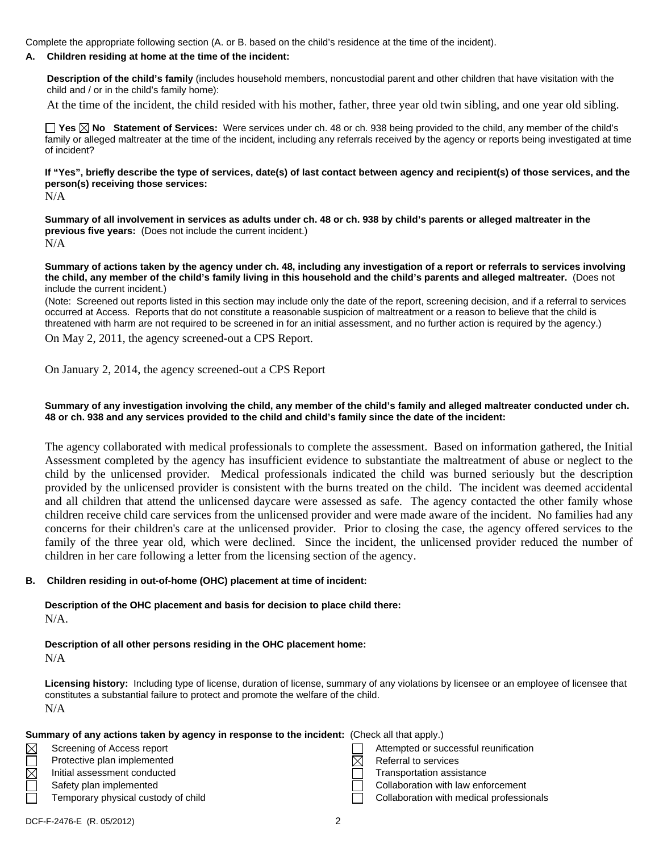Complete the appropriate following section (A. or B. based on the child's residence at the time of the incident).

#### **A. Children residing at home at the time of the incident:**

**Description of the child's family** (includes household members, noncustodial parent and other children that have visitation with the child and / or in the child's family home):

At the time of the incident, the child resided with his mother, father, three year old twin sibling, and one year old sibling.

**Yes No Statement of Services:** Were services under ch. 48 or ch. 938 being provided to the child, any member of the child's family or alleged maltreater at the time of the incident, including any referrals received by the agency or reports being investigated at time of incident?

**If "Yes", briefly describe the type of services, date(s) of last contact between agency and recipient(s) of those services, and the person(s) receiving those services:** 

N/A

**Summary of all involvement in services as adults under ch. 48 or ch. 938 by child's parents or alleged maltreater in the previous five years:** (Does not include the current incident.) N/A

**Summary of actions taken by the agency under ch. 48, including any investigation of a report or referrals to services involving the child, any member of the child's family living in this household and the child's parents and alleged maltreater.** (Does not include the current incident.)

(Note: Screened out reports listed in this section may include only the date of the report, screening decision, and if a referral to services occurred at Access. Reports that do not constitute a reasonable suspicion of maltreatment or a reason to believe that the child is threatened with harm are not required to be screened in for an initial assessment, and no further action is required by the agency.) On May 2, 2011, the agency screened-out a CPS Report.

On January 2, 2014, the agency screened-out a CPS Report

#### **Summary of any investigation involving the child, any member of the child's family and alleged maltreater conducted under ch. 48 or ch. 938 and any services provided to the child and child's family since the date of the incident:**

The agency collaborated with medical professionals to complete the assessment. Based on information gathered, the Initial Assessment completed by the agency has insufficient evidence to substantiate the maltreatment of abuse or neglect to the child by the unlicensed provider. Medical professionals indicated the child was burned seriously but the description provided by the unlicensed provider is consistent with the burns treated on the child. The incident was deemed accidental and all children that attend the unlicensed daycare were assessed as safe. The agency contacted the other family whose children receive child care services from the unlicensed provider and were made aware of the incident. No families had any concerns for their children's care at the unlicensed provider. Prior to closing the case, the agency offered services to the family of the three year old, which were declined. Since the incident, the unlicensed provider reduced the number of children in her care following a letter from the licensing section of the agency.

#### **B. Children residing in out-of-home (OHC) placement at time of incident:**

**Description of the OHC placement and basis for decision to place child there:** N/A.

**Description of all other persons residing in the OHC placement home:**

| × |  |
|---|--|
|   |  |

**Licensing history:** Including type of license, duration of license, summary of any violations by licensee or an employee of licensee that constitutes a substantial failure to protect and promote the welfare of the child. N/A

|             | Summary of any actions taken by agency in response to the incident: (Check all that apply.) |                                          |
|-------------|---------------------------------------------------------------------------------------------|------------------------------------------|
| $\boxtimes$ | Screening of Access report                                                                  | Attempted or successful reunification    |
|             | Protective plan implemented                                                                 | Referral to services                     |
| $\boxtimes$ | Initial assessment conducted                                                                | Transportation assistance                |
|             | Safety plan implemented                                                                     | Collaboration with law enforcement       |
|             | Temporary physical custody of child                                                         | Collaboration with medical professionals |